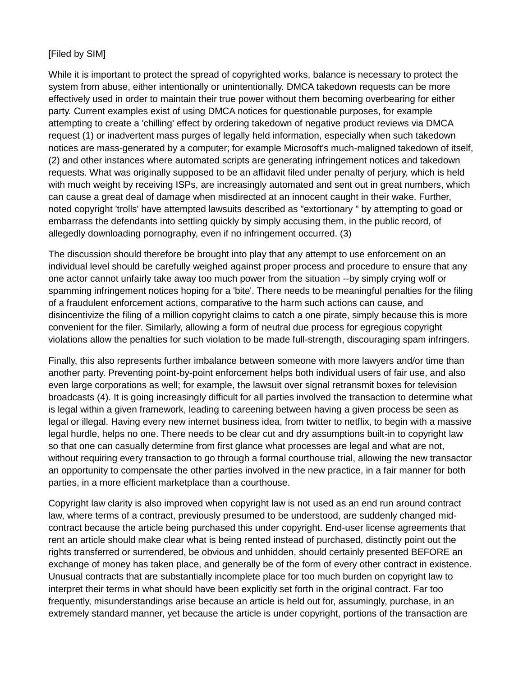## [Filed by SIM]

While it is important to protect the spread of copyrighted works, balance is necessary to protect the system from abuse, either intentionally or unintentionally. DMCA takedown requests can be more effectively used in order to maintain their true power without them becoming overbearing for either party. Current examples exist of using DMCA notices for questionable purposes, for example attempting to create a 'chilling' effect by ordering takedown of negative product reviews via DMCA request (1) or inadvertent mass purges of legally held information, especially when such takedown notices are mass-generated by a computer; for example Microsoft's much-maligned takedown of itself, (2) and other instances where automated scripts are generating infringement notices and takedown requests. What was originally supposed to be an affidavit filed under penalty of perjury, which is held with much weight by receiving ISPs, are increasingly automated and sent out in great numbers, which can cause a great deal of damage when misdirected at an innocent caught in their wake. Further, noted copyright 'trolls' have attempted lawsuits described as "extortionary " by attempting to goad or embarrass the defendants into settling quickly by simply accusing them, in the public record, of allegedly downloading pornography, even if no infringement occurred. (3)

The discussion should therefore be brought into play that any attempt to use enforcement on an individual level should be carefully weighed against proper process and procedure to ensure that any one actor cannot unfairly take away too much power from the situation --by simply crying wolf or spamming infringement notices hoping for a 'bite'. There needs to be meaningful penalties for the filing of a fraudulent enforcement actions, comparative to the harm such actions can cause, and disincentivize the filing of a million copyright claims to catch a one pirate, simply because this is more convenient for the filer. Similarly, allowing a form of neutral due process for egregious copyright violations allow the penalties for such violation to be made full-strength, discouraging spam infringers.

Finally, this also represents further imbalance between someone with more lawyers and/or time than another party. Preventing point-by-point enforcement helps both individual users of fair use, and also even large corporations as well; for example, the lawsuit over signal retransmit boxes for television broadcasts (4). It is going increasingly difficult for all parties involved the transaction to determine what is legal within a given framework, leading to careening between having a given process be seen as legal or illegal. Having every new internet business idea, from twitter to netflix, to begin with a massive legal hurdle, helps no one. There needs to be clear cut and dry assumptions built-in to copyright law so that one can casually determine from first glance what processes are legal and what are not, without requiring every transaction to go through a formal courthouse trial, allowing the new transactor an opportunity to compensate the other parties involved in the new practice, in a fair manner for both parties, in a more efficient marketplace than a courthouse.

Copyright law clarity is also improved when copyright law is not used as an end run around contract law, where terms of a contract, previously presumed to be understood, are suddenly changed midcontract because the article being purchased this under copyright. End-user license agreements that rent an article should make clear what is being rented instead of purchased, distinctly point out the rights transferred or surrendered, be obvious and unhidden, should certainly presented BEFORE an exchange of money has taken place, and generally be of the form of every other contract in existence. Unusual contracts that are substantially incomplete place for too much burden on copyright law to interpret their terms in what should have been explicitly set forth in the original contract. Far too frequently, misunderstandings arise because an article is held out for, assumingly, purchase, in an extremely standard manner, yet because the article is under copyright, portions of the transaction are